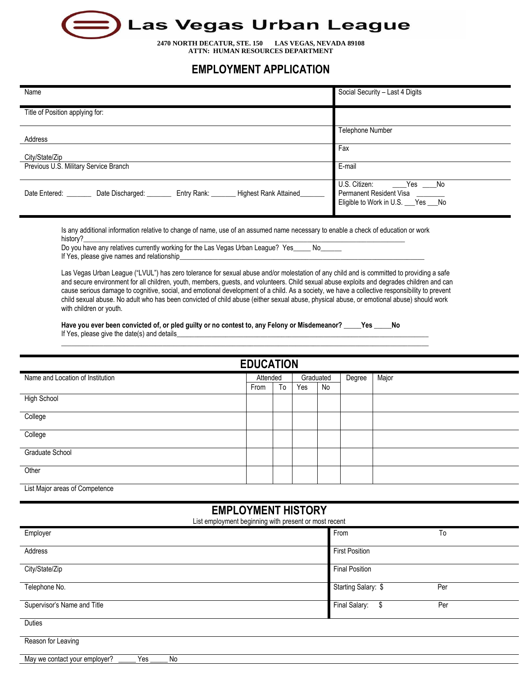

**2470 NORTH DECATUR, STE. 150 LAS VEGAS, NEVADA 89108 ATTN: HUMAN RESOURCES DEPARTMENT**

## **EMPLOYMENT APPLICATION**

| Name                                                                      | Social Security - Last 4 Digits                                                             |
|---------------------------------------------------------------------------|---------------------------------------------------------------------------------------------|
| Title of Position applying for:                                           |                                                                                             |
| Address                                                                   | <b>Telephone Number</b>                                                                     |
| City/State/Zip                                                            | Fax                                                                                         |
| Previous U.S. Military Service Branch                                     | E-mail                                                                                      |
| Entry Rank:<br>Highest Rank Attained<br>Date Entered:<br>Date Discharged: | U.S. Citizen:<br>Yes No<br>Permanent Resident Visa<br>Eligible to Work in U.S. __ Yes __ No |

Is any additional information relative to change of name, use of an assumed name necessary to enable a check of education or work history?\_\_\_\_\_\_\_\_\_\_\_\_\_\_\_\_\_\_\_\_\_\_\_\_\_\_\_\_\_\_\_\_\_\_\_\_\_\_\_\_\_\_\_\_\_\_\_\_\_\_\_\_\_\_\_\_\_\_\_\_\_\_\_\_\_\_\_\_\_\_\_\_\_\_\_\_\_\_\_\_\_\_\_\_\_\_\_\_\_\_\_\_

Do you have any relatives currently working for the Las Vegas Urban League? Yes\_\_\_\_\_ No\_ If Yes, please give names and relationship

Las Vegas Urban League ("LVUL") has zero tolerance for sexual abuse and/or molestation of any child and is committed to providing a safe and secure environment for all children, youth, members, guests, and volunteers. Child sexual abuse exploits and degrades children and can cause serious damage to cognitive, social, and emotional development of a child. As a society, we have a collective responsibility to prevent child sexual abuse. No adult who has been convicted of child abuse (either sexual abuse, physical abuse, or emotional abuse) should work with children or youth.

**Have you ever been convicted of, or pled guilty or no contest to, any Felony or Misdemeanor? \_\_\_\_\_Yes \_\_\_\_\_No** If Yes, please give the date(s) and details

\_\_\_\_\_\_\_\_\_\_\_\_\_\_\_\_\_\_\_\_\_\_\_\_\_\_\_\_\_\_\_\_\_\_\_\_\_\_\_\_\_\_\_\_\_\_\_\_\_\_\_\_\_\_\_\_\_\_\_\_\_\_\_\_\_\_\_\_\_\_\_\_\_\_\_\_\_\_\_\_\_\_\_\_\_\_\_\_\_\_\_\_\_\_\_\_\_\_\_\_\_\_\_\_\_

| <b>EDUCATION</b>                          |      |          |     |           |        |       |
|-------------------------------------------|------|----------|-----|-----------|--------|-------|
| Name and Location of Institution          |      | Attended |     | Graduated | Degree | Major |
|                                           | From | To       | Yes | No        |        |       |
| <b>High School</b>                        |      |          |     |           |        |       |
| College                                   |      |          |     |           |        |       |
| College                                   |      |          |     |           |        |       |
| Graduate School                           |      |          |     |           |        |       |
| Other                                     |      |          |     |           |        |       |
| <b>List Maine agency of Ongenieus and</b> |      |          |     |           |        |       |

List Major areas of Competence

## **EMPLOYMENT HISTORY**

List employment beginning with present or most recent

| Employer                                   | From                  | To  |
|--------------------------------------------|-----------------------|-----|
| Address                                    | <b>First Position</b> |     |
| City/State/Zip                             | <b>Final Position</b> |     |
| Telephone No.                              | Starting Salary: \$   | Per |
| Supervisor's Name and Title                | Final Salary:<br>\$   | Per |
| Duties                                     |                       |     |
| Reason for Leaving                         |                       |     |
| Yes<br>No<br>May we contact your employer? |                       |     |